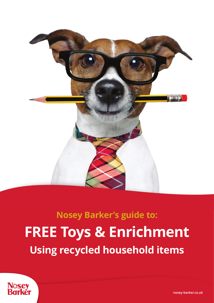

## **Nosey Barker's guide to: FREE Toys & Enrichment Using recycled household items**



**[nosey-barker.co.uk](https://nosey-barker.co.uk)**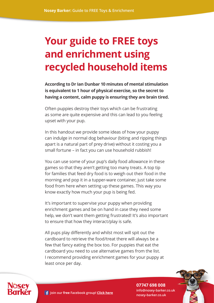## **Your guide to FREE toys and enrichment using recycled household items**

**According to Dr Ian Dunbar 10 minutes of mental stimulation is equivalent to 1 hour of physical exercise, so the secret to having a content, calm puppy is ensuring they are brain tired.** 

Often puppies destroy their toys which can be frustrating as some are quite expensive and this can lead to you feeling upset with your pup.

In this handout we provide some ideas of how your puppy can indulge in normal dog behaviour (biting and ripping things apart is a natural part of prey drive) without it costing you a small fortune – in fact you can use household rubbish!

You can use some of your pup's daily food allowance in these games so that they aren't getting too many treats. A top tip for families that feed dry food is to weigh out their food in the morning and pop it in a tupper-ware container, just take some food from here when setting up these games. This way you know exactly how much your pup is being fed.

It's important to supervise your puppy when providing enrichment games and be on hand in case they need some help, we don't want them getting frustrated! It's also important to ensure that how they interact/play is safe.

All pups play differently and whilst most will spit out the cardboard to retrieve the food/treat there will always be a few that fancy eating the box too. For puppies that eat the cardboard you need to use alternative games from the list. I recommend providing enrichment games for your puppy at least once per day.



**07747 698 008 info@nosey-barker.co.uk [nosey-barker.co.uk](https://nosey-barker.co.uk)**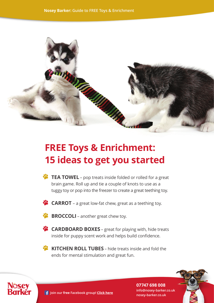

## **FREE Toys & Enrichment: 15 ideas to get you started**

- **• TEA TOWEL** pop treats inside folded or rolled for a great brain game. Roll up and tie a couple of knots to use as a tuggy toy or pop into the freezer to create a great teething toy.
- **• CARROT**  a great low-fat chew, great as a teething toy.
- **• BROCCOLI** another great chew toy.
- **• CARDBOARD BOXES** great for playing with, hide treats inside for puppy scent work and helps build confidence.
- **• KITCHEN ROLL TUBES** hide treats inside and fold the ends for mental stimulation and great fun.



**07747 698 008 info@nosey-barker.co.uk here F** Join our free [Facebook group!](https://facebook.com/groups/noseybarker) Click here **the contract of the state of the facebook** group! Click here **here** hosey-barker.co.uk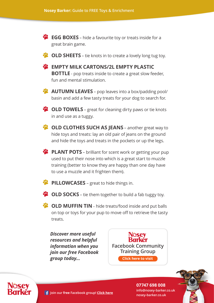- **• EGG BOXES** hide a favourite toy or treats inside for a great brain game.
- **•• OLD SHEETS** tie knots in to create a lovely long tug toy.
- **• EMPTY MILK CARTONS/2L EMPTY PLASTIC BOTTLE** - pop treats inside to create a great slow feeder, fun and mental stimulation.
- **• AUTUMN LEAVES** pop leaves into a box/padding pool/ basin and add a few tasty treats for your dog to search for.
- **•• OLD TOWELS** great for cleaning dirty paws or tie knots in and use as a tuggy.
- **• OLD CLOTHES SUCH AS JEANS** another great way to hide toys and treats: lay an old pair of jeans on the ground and hide the toys and treats in the pockets or up the legs.
- **• PLANT POTS** brilliant for scent work or getting your pup used to put their nose into which is a great start to muzzle training (better to know they are happy than one day have to use a muzzle and it frighten them).
- **•• PILLOWCASES** great to hide things in.
- **• OLD SOCKS** tie them together to build a fab tuggy toy.

**• OLD MUFFIN TIN** – hide treats/food inside and put balls on top or toys for your pup to move off to retrieve the tasty treats.

*Discover more useful resources and helpful information when you join our free Facebook group today...*

**Karkēr [Facebook Community](https://www.facebook.com/groups/noseybarker/learning_content/) Training Group [Click here to visit](https://www.facebook.com/groups/noseybarker/learning_content/)**



**07747 698 008 info@nosey-barker.co.uk**